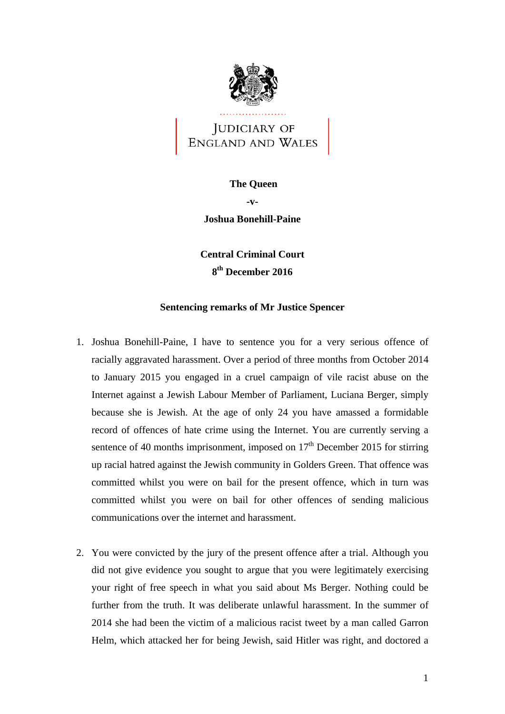

JUDICIARY OF ENGLAND AND WALES

## **The Queen -v-Joshua Bonehill-Paine**

**Central Criminal Court** 

**8th December 2016** 

## **Sentencing remarks of Mr Justice Spencer**

- 1. Joshua Bonehill-Paine, I have to sentence you for a very serious offence of racially aggravated harassment. Over a period of three months from October 2014 to January 2015 you engaged in a cruel campaign of vile racist abuse on the Internet against a Jewish Labour Member of Parliament, Luciana Berger, simply because she is Jewish. At the age of only 24 you have amassed a formidable record of offences of hate crime using the Internet. You are currently serving a sentence of 40 months imprisonment, imposed on  $17<sup>th</sup>$  December 2015 for stirring up racial hatred against the Jewish community in Golders Green. That offence was committed whilst you were on bail for the present offence, which in turn was committed whilst you were on bail for other offences of sending malicious communications over the internet and harassment.
- 2. You were convicted by the jury of the present offence after a trial. Although you did not give evidence you sought to argue that you were legitimately exercising your right of free speech in what you said about Ms Berger. Nothing could be further from the truth. It was deliberate unlawful harassment. In the summer of 2014 she had been the victim of a malicious racist tweet by a man called Garron Helm, which attacked her for being Jewish, said Hitler was right, and doctored a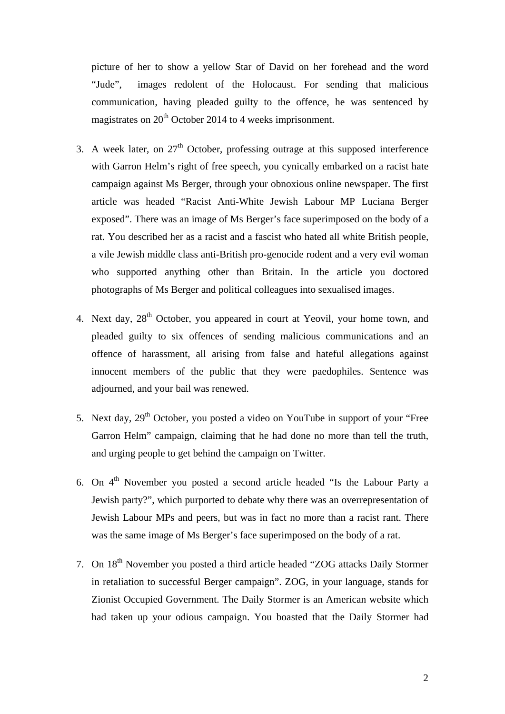picture of her to show a yellow Star of David on her forehead and the word "Jude", images redolent of the Holocaust. For sending that malicious communication, having pleaded guilty to the offence, he was sentenced by magistrates on  $20<sup>th</sup>$  October 2014 to 4 weeks imprisonment.

- 3. A week later, on  $27<sup>th</sup>$  October, professing outrage at this supposed interference with Garron Helm's right of free speech, you cynically embarked on a racist hate campaign against Ms Berger, through your obnoxious online newspaper. The first article was headed "Racist Anti-White Jewish Labour MP Luciana Berger exposed". There was an image of Ms Berger's face superimposed on the body of a rat. You described her as a racist and a fascist who hated all white British people, a vile Jewish middle class anti-British pro-genocide rodent and a very evil woman who supported anything other than Britain. In the article you doctored photographs of Ms Berger and political colleagues into sexualised images.
- 4. Next day,  $28<sup>th</sup>$  October, you appeared in court at Yeovil, your home town, and pleaded guilty to six offences of sending malicious communications and an offence of harassment, all arising from false and hateful allegations against innocent members of the public that they were paedophiles. Sentence was adjourned, and your bail was renewed.
- 5. Next day,  $29<sup>th</sup>$  October, you posted a video on YouTube in support of your "Free Garron Helm" campaign, claiming that he had done no more than tell the truth, and urging people to get behind the campaign on Twitter.
- 6. On  $4<sup>th</sup>$  November you posted a second article headed "Is the Labour Party a Jewish party?", which purported to debate why there was an overrepresentation of Jewish Labour MPs and peers, but was in fact no more than a racist rant. There was the same image of Ms Berger's face superimposed on the body of a rat.
- 7. On 18<sup>th</sup> November you posted a third article headed "ZOG attacks Daily Stormer in retaliation to successful Berger campaign". ZOG, in your language, stands for Zionist Occupied Government. The Daily Stormer is an American website which had taken up your odious campaign. You boasted that the Daily Stormer had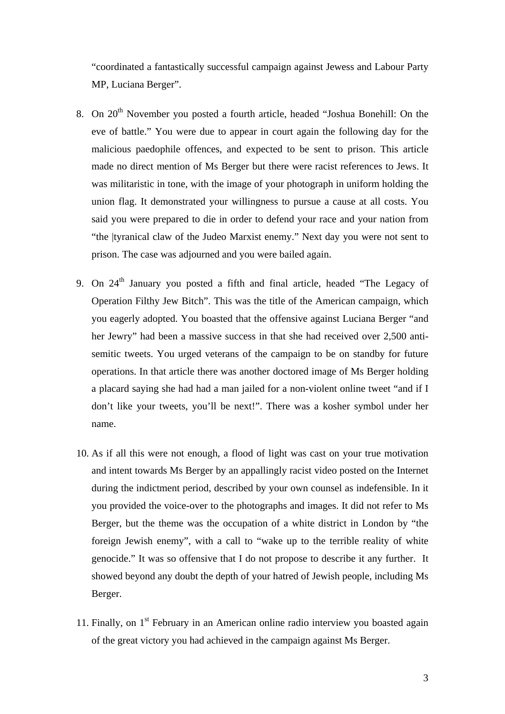"coordinated a fantastically successful campaign against Jewess and Labour Party MP, Luciana Berger".

- 8. On  $20<sup>th</sup>$  November you posted a fourth article, headed "Joshua Bonehill: On the eve of battle." You were due to appear in court again the following day for the malicious paedophile offences, and expected to be sent to prison. This article made no direct mention of Ms Berger but there were racist references to Jews. It was militaristic in tone, with the image of your photograph in uniform holding the union flag. It demonstrated your willingness to pursue a cause at all costs. You said you were prepared to die in order to defend your race and your nation from "the |tyranical claw of the Judeo Marxist enemy." Next day you were not sent to prison. The case was adjourned and you were bailed again.
- 9. On  $24<sup>th</sup>$  January you posted a fifth and final article, headed "The Legacy of Operation Filthy Jew Bitch". This was the title of the American campaign, which you eagerly adopted. You boasted that the offensive against Luciana Berger "and her Jewry" had been a massive success in that she had received over 2,500 antisemitic tweets. You urged veterans of the campaign to be on standby for future operations. In that article there was another doctored image of Ms Berger holding a placard saying she had had a man jailed for a non-violent online tweet "and if I don't like your tweets, you'll be next!". There was a kosher symbol under her name.
- 10. As if all this were not enough, a flood of light was cast on your true motivation and intent towards Ms Berger by an appallingly racist video posted on the Internet during the indictment period, described by your own counsel as indefensible. In it you provided the voice-over to the photographs and images. It did not refer to Ms Berger, but the theme was the occupation of a white district in London by "the foreign Jewish enemy", with a call to "wake up to the terrible reality of white genocide." It was so offensive that I do not propose to describe it any further. It showed beyond any doubt the depth of your hatred of Jewish people, including Ms Berger.
- 11. Finally, on  $1<sup>st</sup>$  February in an American online radio interview you boasted again of the great victory you had achieved in the campaign against Ms Berger.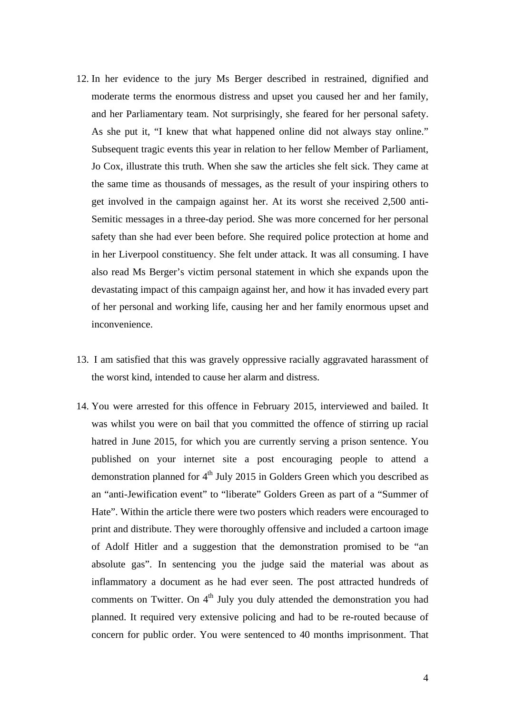- 12. In her evidence to the jury Ms Berger described in restrained, dignified and moderate terms the enormous distress and upset you caused her and her family, and her Parliamentary team. Not surprisingly, she feared for her personal safety. As she put it, "I knew that what happened online did not always stay online." Subsequent tragic events this year in relation to her fellow Member of Parliament, Jo Cox, illustrate this truth. When she saw the articles she felt sick. They came at the same time as thousands of messages, as the result of your inspiring others to get involved in the campaign against her. At its worst she received 2,500 anti-Semitic messages in a three-day period. She was more concerned for her personal safety than she had ever been before. She required police protection at home and in her Liverpool constituency. She felt under attack. It was all consuming. I have also read Ms Berger's victim personal statement in which she expands upon the devastating impact of this campaign against her, and how it has invaded every part of her personal and working life, causing her and her family enormous upset and inconvenience.
- 13. I am satisfied that this was gravely oppressive racially aggravated harassment of the worst kind, intended to cause her alarm and distress.
- 14. You were arrested for this offence in February 2015, interviewed and bailed. It was whilst you were on bail that you committed the offence of stirring up racial hatred in June 2015, for which you are currently serving a prison sentence. You published on your internet site a post encouraging people to attend a demonstration planned for  $4<sup>th</sup>$  July 2015 in Golders Green which you described as an "anti-Jewification event" to "liberate" Golders Green as part of a "Summer of Hate". Within the article there were two posters which readers were encouraged to print and distribute. They were thoroughly offensive and included a cartoon image of Adolf Hitler and a suggestion that the demonstration promised to be "an absolute gas". In sentencing you the judge said the material was about as inflammatory a document as he had ever seen. The post attracted hundreds of comments on Twitter. On  $4<sup>th</sup>$  July you duly attended the demonstration you had planned. It required very extensive policing and had to be re-routed because of concern for public order. You were sentenced to 40 months imprisonment. That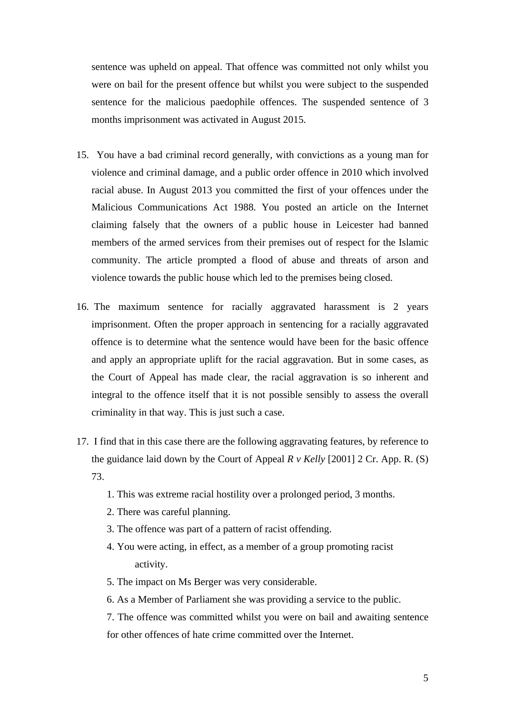sentence was upheld on appeal. That offence was committed not only whilst you were on bail for the present offence but whilst you were subject to the suspended sentence for the malicious paedophile offences. The suspended sentence of 3 months imprisonment was activated in August 2015.

- 15. You have a bad criminal record generally, with convictions as a young man for violence and criminal damage, and a public order offence in 2010 which involved racial abuse. In August 2013 you committed the first of your offences under the Malicious Communications Act 1988. You posted an article on the Internet claiming falsely that the owners of a public house in Leicester had banned members of the armed services from their premises out of respect for the Islamic community. The article prompted a flood of abuse and threats of arson and violence towards the public house which led to the premises being closed.
- 16. The maximum sentence for racially aggravated harassment is 2 years imprisonment. Often the proper approach in sentencing for a racially aggravated offence is to determine what the sentence would have been for the basic offence and apply an appropriate uplift for the racial aggravation. But in some cases, as the Court of Appeal has made clear, the racial aggravation is so inherent and integral to the offence itself that it is not possible sensibly to assess the overall criminality in that way. This is just such a case.
- 17. I find that in this case there are the following aggravating features, by reference to the guidance laid down by the Court of Appeal *R v Kelly* [2001] 2 Cr. App. R. (S) 73.
	- 1. This was extreme racial hostility over a prolonged period, 3 months.
	- 2. There was careful planning.
	- 3. The offence was part of a pattern of racist offending.
	- 4. You were acting, in effect, as a member of a group promoting racist activity.
	- 5. The impact on Ms Berger was very considerable.
	- 6. As a Member of Parliament she was providing a service to the public.
	- 7. The offence was committed whilst you were on bail and awaiting sentence for other offences of hate crime committed over the Internet.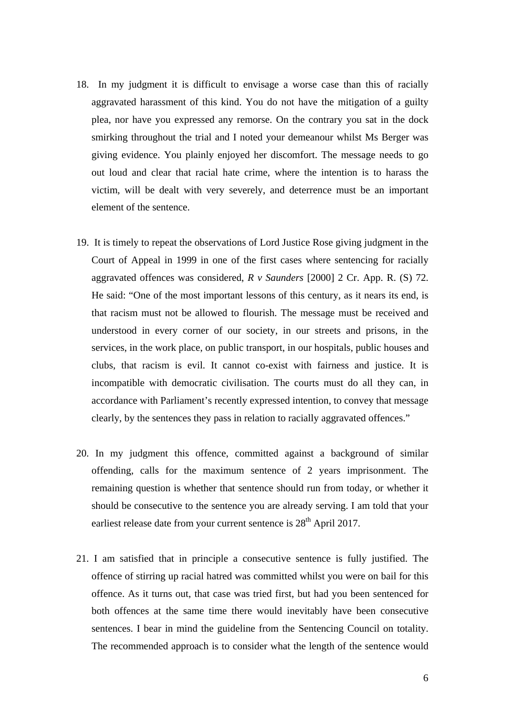- element of the sentence. 18. In my judgment it is difficult to envisage a worse case than this of racially aggravated harassment of this kind. You do not have the mitigation of a guilty plea, nor have you expressed any remorse. On the contrary you sat in the dock smirking throughout the trial and I noted your demeanour whilst Ms Berger was giving evidence. You plainly enjoyed her discomfort. The message needs to go out loud and clear that racial hate crime, where the intention is to harass the victim, will be dealt with very severely, and deterrence must be an important
- 19. It is timely to repeat the observations of Lord Justice Rose giving judgment in the Court of Appeal in 1999 in one of the first cases where sentencing for racially aggravated offences was considered, *R v Saunders* [2000] 2 Cr. App. R. (S) 72. He said: "One of the most important lessons of this century, as it nears its end, is that racism must not be allowed to flourish. The message must be received and understood in every corner of our society, in our streets and prisons, in the services, in the work place, on public transport, in our hospitals, public houses and clubs, that racism is evil. It cannot co-exist with fairness and justice. It is incompatible with democratic civilisation. The courts must do all they can, in accordance with Parliament's recently expressed intention, to convey that message clearly, by the sentences they pass in relation to racially aggravated offences."
- 20. In my judgment this offence, committed against a background of similar offending, calls for the maximum sentence of 2 years imprisonment. The remaining question is whether that sentence should run from today, or whether it should be consecutive to the sentence you are already serving. I am told that your earliest release date from your current sentence is  $28<sup>th</sup>$  April 2017.
- 21. I am satisfied that in principle a consecutive sentence is fully justified. The offence of stirring up racial hatred was committed whilst you were on bail for this offence. As it turns out, that case was tried first, but had you been sentenced for both offences at the same time there would inevitably have been consecutive sentences. I bear in mind the guideline from the Sentencing Council on totality. The recommended approach is to consider what the length of the sentence would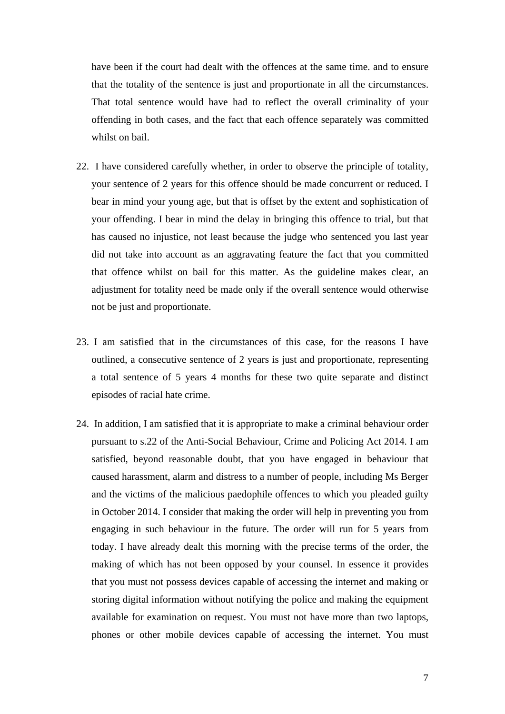have been if the court had dealt with the offences at the same time. and to ensure that the totality of the sentence is just and proportionate in all the circumstances. That total sentence would have had to reflect the overall criminality of your offending in both cases, and the fact that each offence separately was committed whilst on bail.

- 22. I have considered carefully whether, in order to observe the principle of totality, your sentence of 2 years for this offence should be made concurrent or reduced. I bear in mind your young age, but that is offset by the extent and sophistication of your offending. I bear in mind the delay in bringing this offence to trial, but that has caused no injustice, not least because the judge who sentenced you last year did not take into account as an aggravating feature the fact that you committed that offence whilst on bail for this matter. As the guideline makes clear, an adjustment for totality need be made only if the overall sentence would otherwise not be just and proportionate.
- 23. I am satisfied that in the circumstances of this case, for the reasons I have outlined, a consecutive sentence of 2 years is just and proportionate, representing a total sentence of 5 years 4 months for these two quite separate and distinct episodes of racial hate crime.
- 24. In addition, I am satisfied that it is appropriate to make a criminal behaviour order pursuant to s.22 of the Anti-Social Behaviour, Crime and Policing Act 2014. I am satisfied, beyond reasonable doubt, that you have engaged in behaviour that caused harassment, alarm and distress to a number of people, including Ms Berger and the victims of the malicious paedophile offences to which you pleaded guilty in October 2014. I consider that making the order will help in preventing you from engaging in such behaviour in the future. The order will run for 5 years from today. I have already dealt this morning with the precise terms of the order, the making of which has not been opposed by your counsel. In essence it provides that you must not possess devices capable of accessing the internet and making or storing digital information without notifying the police and making the equipment available for examination on request. You must not have more than two laptops, phones or other mobile devices capable of accessing the internet. You must